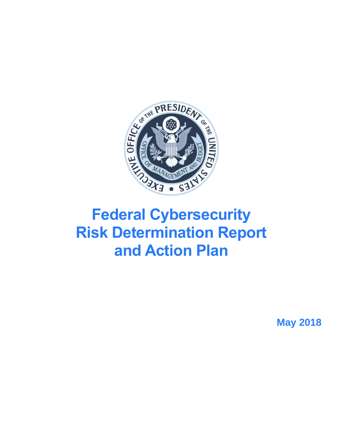

# **Federal Cybersecurity Risk Determination Report and Action Plan**

**May 2018**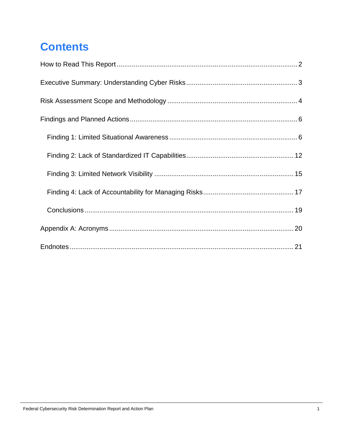# **Contents**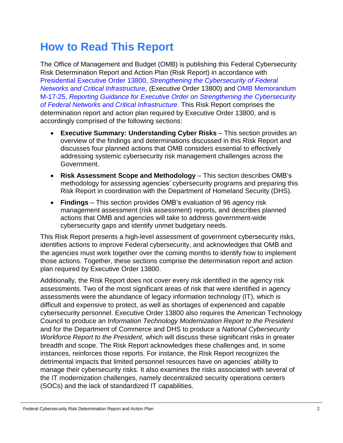# <span id="page-2-0"></span>**How to Read This Report**

The Office of Management and Budget (OMB) is publishing this Federal Cybersecurity Risk Determination Report and Action Plan (Risk Report) in accordance with Presidential Executive Order 13800, *[Strengthening the Cybersecurity of Federal](https://www.whitehouse.gov/the-press-office/2017/05/11/presidential-executive-order-strengthening-cybersecurity-federal)  Networks [and Critical Infrastructure](https://www.whitehouse.gov/the-press-office/2017/05/11/presidential-executive-order-strengthening-cybersecurity-federal)*, (Executive Order 13800) and [OMB Memorandum](https://www.whitehouse.gov/sites/whitehouse.gov/files/omb/memoranda/2017/M-17-25.pdf)  M-17-25, *[Reporting Guidance for Executive Order on Strengthening the Cybersecurity](https://www.whitehouse.gov/sites/whitehouse.gov/files/omb/memoranda/2017/M-17-25.pdf)  [of Federal Networks and Critical Infrastructure](https://www.whitehouse.gov/sites/whitehouse.gov/files/omb/memoranda/2017/M-17-25.pdf)*. This Risk Report comprises the determination report and action plan required by Executive Order 13800, and is accordingly comprised of the following sections:

- **Executive Summary: Understanding Cyber Risks** This section provides an overview of the findings and determinations discussed in this Risk Report and discusses four planned actions that OMB considers essential to effectively addressing systemic cybersecurity risk management challenges across the Government.
- **Risk Assessment Scope and Methodology** This section describes OMB's methodology for assessing agencies' cybersecurity programs and preparing this Risk Report in coordination with the Department of Homeland Security (DHS).
- **Findings** This section provides OMB's evaluation of 96 agency risk management assessment (risk assessment) reports, and describes planned actions that OMB and agencies will take to address government-wide cybersecurity gaps and identify unmet budgetary needs.

This Risk Report presents a high-level assessment of government cybersecurity risks, identifies actions to improve Federal cybersecurity, and acknowledges that OMB and the agencies must work together over the coming months to identify how to implement those actions. Together, these sections comprise the determination report and action plan required by Executive Order 13800.

Additionally, the Risk Report does not cover every risk identified in the agency risk assessments. Two of the most significant areas of risk that were identified in agency assessments were the abundance of legacy information technology (IT), which is difficult and expensive to protect, as well as shortages of experienced and capable cybersecurity personnel. Executive Order 13800 also requires the American Technology Council to produce an *Information Technology Modernization Report to the President* and for the Department of Commerce and DHS to produce a *National Cybersecurity Workforce Report to the President,* which will discuss these significant risks in greater breadth and scope. The Risk Report acknowledges these challenges and, in some instances, reinforces those reports. For instance, the Risk Report recognizes the detrimental impacts that limited personnel resources have on agencies' ability to manage their cybersecurity risks. It also examines the risks associated with several of the IT modernization challenges, namely decentralized security operations centers (SOCs) and the lack of standardized IT capabilities.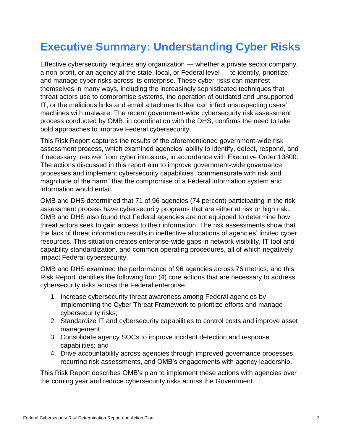# <span id="page-3-0"></span>**Executive Summary: Understanding Cyber Risks**

Effective cybersecurity requires any organization — whether a private sector company, a non-profit, or an agency at the state, local, or Federal level — to identify, prioritize, and manage cyber risks across its enterprise. These cyber risks can manifest themselves in many ways, including the increasingly sophisticated techniques that threat actors use to compromise systems, the operation of outdated and unsupported IT, or the malicious links and email attachments that can infect unsuspecting users' machines with malware. The recent government-wide cybersecurity risk assessment process conducted by OMB, in coordination with the DHS, confirms the need to take bold approaches to improve Federal cybersecurity.

This Risk Report captures the results of the aforementioned government-wide risk assessment process, which examined agencies' ability to identify, detect, respond, and if necessary, recover from cyber intrusions, in accordance with Executive Order 13800. The actions discussed in this report aim to improve government-wide governance processes and implement cybersecurity capabilities "commensurate with risk and magnitude of the harm" that the compromise of a Federal information system and information would entail.

OMB and DHS determined that 71 of 96 agencies (74 percent) participating in the risk assessment process have cybersecurity programs that are either at risk or high risk. OMB and DHS also found that Federal agencies are not equipped to determine how threat actors seek to gain access to their information. The risk assessments show that the lack of threat information results in ineffective allocations of agencies' limited cyber resources. This situation creates enterprise-wide gaps in network visibility, IT tool and capability standardization, and common operating procedures, all of which negatively impact Federal cybersecurity.

OMB and DHS examined the performance of 96 agencies across 76 metrics, and this Risk Report identifies the following four (4) core actions that are necessary to address cybersecurity risks across the Federal enterprise:

- 1. Increase cybersecurity threat awareness among Federal agencies by implementing the Cyber Threat Framework to prioritize efforts and manage cybersecurity risks;
- 2. Standardize IT and cybersecurity capabilities to control costs and improve asset management;
- 3. Consolidate agency SOCs to improve incident detection and response capabilities; and
- 4. Drive accountability across agencies through improved governance processes, recurring risk assessments, and OMB's engagements with agency leadership.

This Risk Report describes OMB's plan to implement these actions with agencies over the coming year and reduce cybersecurity risks across the Government.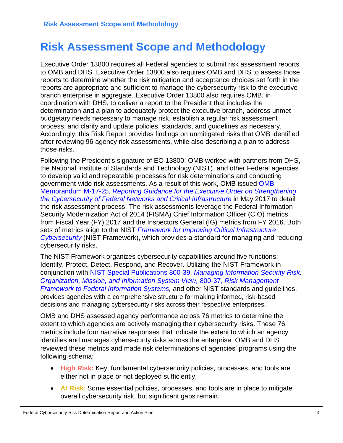# <span id="page-4-0"></span>**Risk Assessment Scope and Methodology**

Executive Order 13800 requires all Federal agencies to submit risk assessment reports to OMB and DHS. Executive Order 13800 also requires OMB and DHS to assess those reports to determine whether the risk mitigation and acceptance choices set forth in the reports are appropriate and sufficient to manage the cybersecurity risk to the executive branch enterprise in aggregate. Executive Order 13800 also requires OMB, in coordination with DHS, to deliver a report to the President that includes the determination and a plan to adequately protect the executive branch, address unmet budgetary needs necessary to manage risk, establish a regular risk assessment process, and clarify and update policies, standards, and guidelines as necessary. Accordingly, this Risk Report provides findings on unmitigated risks that OMB identified after reviewing 96 agency risk assessments, while also describing a plan to address those risks.

Following the President's signature of EO 13800, OMB worked with partners from DHS, the National Institute of Standards and Technology (NIST), and other Federal agencies to develop valid and repeatable processes for risk determinations and conducting government-wide risk assessments. As a result of this work, OMB issued [OMB](https://www.whitehouse.gov/sites/whitehouse.gov/files/omb/memoranda/2017/M-17-25.pdf)  Memorandum M-17-25, *[Reporting Guidance for the Executive Order on Strengthening](https://www.whitehouse.gov/sites/whitehouse.gov/files/omb/memoranda/2017/M-17-25.pdf)  [the Cybersecurity of Federal Networks and Critical Infrastructure](https://www.whitehouse.gov/sites/whitehouse.gov/files/omb/memoranda/2017/M-17-25.pdf)* in May 2017 to detail the risk assessment process. The risk assessments leverage the Federal Information Security Modernization Act of 2014 (FISMA) Chief Information Officer (CIO) metrics from Fiscal Year (FY) 2017 and the Inspectors General (IG) metrics from FY 2016. Both sets of metrics align to the NIST *[Framework for Improving Critical Infrastructure](https://www.nist.gov/sites/default/files/documents/cyberframework/cybersecurity-framework-021214.pdf)  [Cybersecurity](https://www.nist.gov/sites/default/files/documents/cyberframework/cybersecurity-framework-021214.pdf)* (NIST Framework), which provides a standard for managing and reducing cybersecurity risks.

The NIST Framework organizes cybersecurity capabilities around five functions: Identify, Protect, Detect, Respond, and Recover. Utilizing the NIST Framework in conjunction with NIST Special Publications 800-39, *[Managing Information Security Risk:](http://nvlpubs.nist.gov/nistpubs/Legacy/SP/nistspecialpublication800-39.pdf)  [Organization, Mission, and Information System View,](http://nvlpubs.nist.gov/nistpubs/Legacy/SP/nistspecialpublication800-39.pdf)* 800-37, *[Risk Management](http://nvlpubs.nist.gov/nistpubs/SpecialPublications/NIST.SP.800-37r1.pdf)  [Framework to Federal Information Systems,](http://nvlpubs.nist.gov/nistpubs/SpecialPublications/NIST.SP.800-37r1.pdf)* and other NIST standards and quidelines, provides agencies with a comprehensive structure for making informed, risk-based decisions and managing cybersecurity risks across their respective enterprises.

OMB and DHS assessed agency performance across 76 metrics to determine the extent to which agencies are actively managing their cybersecurity risks. These 76 metrics include four narrative responses that indicate the extent to which an agency identifies and manages cybersecurity risks across the enterprise. OMB and DHS reviewed these metrics and made risk determinations of agencies' programs using the following schema:

- **High Risk:** Key, fundamental cybersecurity policies, processes, and tools are either not in place or not deployed sufficiently.
- **At Risk**: Some essential policies, processes, and tools are in place to mitigate overall cybersecurity risk, but significant gaps remain.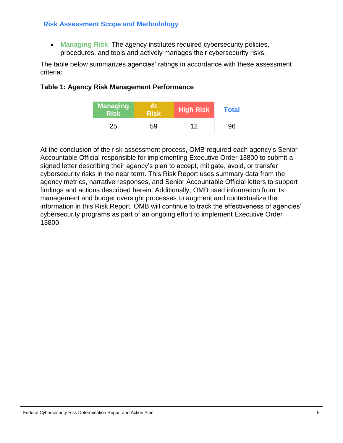**Managing Risk**: The agency institutes required cybersecurity policies, procedures, and tools and actively manages their cybersecurity risks.

The table below summarizes agencies' ratings in accordance with these assessment criteria:

#### **Table 1: Agency Risk Management Performance**

| <b>Managing</b><br><b>Risk</b> | At<br><b>Risk</b> | <b>High Risk</b> | <b>Total</b> |  |  |
|--------------------------------|-------------------|------------------|--------------|--|--|
| 25                             | 59                | 12               | 96           |  |  |

At the conclusion of the risk assessment process, OMB required each agency's Senior Accountable Official responsible for implementing Executive Order 13800 to submit a signed letter describing their agency's plan to accept, mitigate, avoid, or transfer cybersecurity risks in the near term. This Risk Report uses summary data from the agency metrics, narrative responses, and Senior Accountable Official letters to support findings and actions described herein. Additionally, OMB used information from its management and budget oversight processes to augment and contextualize the information in this Risk Report. OMB will continue to track the effectiveness of agencies' cybersecurity programs as part of an ongoing effort to implement Executive Order 13800.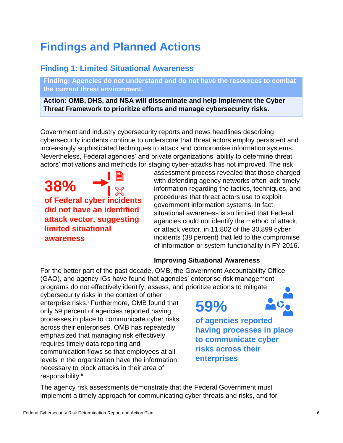# <span id="page-6-0"></span>**Findings and Planned Actions**

## <span id="page-6-1"></span>**Finding 1: Limited Situational Awareness**

**Finding: Agencies do not understand and do not have the resources to combat the current threat environment.** 

**Action: OMB, DHS, and NSA will disseminate and help implement the Cyber Threat Framework to prioritize efforts and manage cybersecurity risks.**

Government and industry cybersecurity reports and news headlines describing cybersecurity incidents continue to underscore that threat actors employ persistent and increasingly sophisticated techniques to attack and compromise information systems. Nevertheless, Federal agencies' and private organizations' ability to determine threat actors' motivations and methods for staging cyber-attacks has not improved. The risk

**38% of Federal cyber incidents did not have an identified attack vector, suggesting limited situational awareness**

assessment process revealed that those charged with defending agency networks often lack timely information regarding the tactics, techniques, and procedures that threat actors use to exploit government information systems. In fact, situational awareness is so limited that Federal agencies could not identify the method of attack, or attack vector, in 11,802 of the 30,899 cyber incidents (38 percent) that led to the compromise of information or system functionality in FY 2016.

### **Improving Situational Awareness**

For the better part of the past decade, OMB, the Government Accountability Office (GAO), and agency IGs have found that agencies' enterprise risk management programs do not effectively identify, assess, and prioritize actions to mitigate

cybersecurity risks in the context of other enterprise risks.<sup>i</sup> Furthermore, OMB found that only 59 percent of agencies reported having processes in place to communicate cyber risks across their enterprises. OMB has repeatedly emphasized that managing risk effectively requires timely data reporting and communication flows so that employees at all levels in the organization have the information necessary to block attacks in their area of responsibility.<sup>ii</sup>



The agency risk assessments demonstrate that the Federal Government must implement a timely approach for communicating cyber threats and risks, and for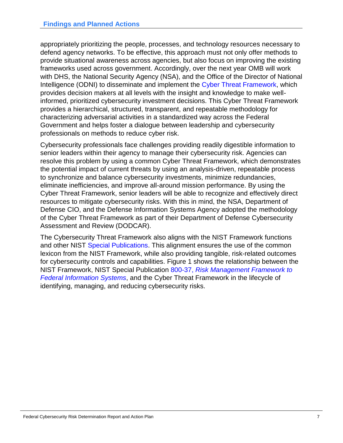appropriately prioritizing the people, processes, and technology resources necessary to defend agency networks. To be effective, this approach must not only offer methods to provide situational awareness across agencies, but also focus on improving the existing frameworks used across government. Accordingly, over the next year OMB will work with DHS, the National Security Agency (NSA), and the Office of the Director of National Intelligence (ODNI) to disseminate and implement the [Cyber Threat Framework,](https://www.dni.gov/index.php/cyber-threat-framework) which provides decision makers at all levels with the insight and knowledge to make wellinformed, prioritized cybersecurity investment decisions. This Cyber Threat Framework provides a hierarchical, structured, transparent, and repeatable methodology for characterizing adversarial activities in a standardized way across the Federal Government and helps foster a dialogue between leadership and cybersecurity professionals on methods to reduce cyber risk.

Cybersecurity professionals face challenges providing readily digestible information to senior leaders within their agency to manage their cybersecurity risk. Agencies can resolve this problem by using a common Cyber Threat Framework, which demonstrates the potential impact of current threats by using an analysis-driven, repeatable process to synchronize and balance cybersecurity investments, minimize redundancies, eliminate inefficiencies, and improve all-around mission performance. By using the Cyber Threat Framework, senior leaders will be able to recognize and effectively direct resources to mitigate cybersecurity risks. With this in mind, the NSA, Department of Defense CIO, and the Defense Information Systems Agency adopted the methodology of the Cyber Threat Framework as part of their Department of Defense Cybersecurity Assessment and Review (DODCAR).

The Cybersecurity Threat Framework also aligns with the NIST Framework functions and other NIST [Special Publications.](http://csrc.nist.gov/publications/PubsSPs.html) This alignment ensures the use of the common lexicon from the NIST Framework, while also providing tangible, risk-related outcomes for cybersecurity controls and capabilities. Figure 1 shows the relationship between the NIST Framework, NIST Special Publication 800-37, *[Risk Management Framework to](http://nvlpubs.nist.gov/nistpubs/SpecialPublications/NIST.SP.800-37r1.pdf)  [Federal Information Systems](http://nvlpubs.nist.gov/nistpubs/SpecialPublications/NIST.SP.800-37r1.pdf)*, and the Cyber Threat Framework in the lifecycle of identifying, managing, and reducing cybersecurity risks.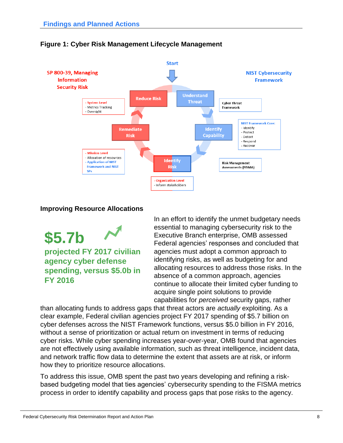

#### **Figure 1: Cyber Risk Management Lifecycle Management**

#### **Improving Resource Allocations**

**\$5.7b projected FY 2017 civilian agency cyber defense spending, versus \$5.0b in FY 2016**

In an effort to identify the unmet budgetary needs essential to managing cybersecurity risk to the Executive Branch enterprise, OMB assessed Federal agencies' responses and concluded that agencies must adopt a common approach to identifying risks, as well as budgeting for and allocating resources to address those risks. In the absence of a common approach, agencies continue to allocate their limited cyber funding to acquire single point solutions to provide capabilities for *perceived* security gaps, rather

than allocating funds to address gaps that threat actors are *actually* exploiting. As a clear example, Federal civilian agencies project FY 2017 spending of \$5.7 billion on cyber defenses across the NIST Framework functions, versus \$5.0 billion in FY 2016, without a sense of prioritization or actual return on investment in terms of reducing cyber risks. While cyber spending increases year-over-year, OMB found that agencies are not effectively using available information, such as threat intelligence, incident data, and network traffic flow data to determine the extent that assets are at risk, or inform how they to prioritize resource allocations.

To address this issue, OMB spent the past two years developing and refining a riskbased budgeting model that ties agencies' cybersecurity spending to the FISMA metrics process in order to identify capability and process gaps that pose risks to the agency.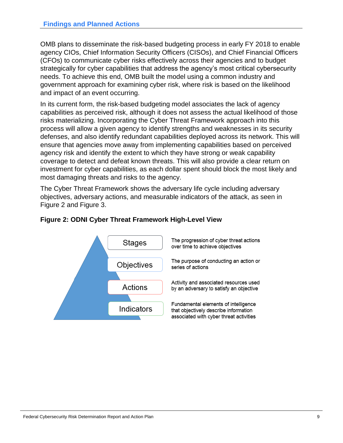OMB plans to disseminate the risk-based budgeting process in early FY 2018 to enable agency CIOs, Chief Information Security Officers (CISOs), and Chief Financial Officers (CFOs) to communicate cyber risks effectively across their agencies and to budget strategically for cyber capabilities that address the agency's most critical cybersecurity needs. To achieve this end, OMB built the model using a common industry and government approach for examining cyber risk, where risk is based on the likelihood and impact of an event occurring.

In its current form, the risk-based budgeting model associates the lack of agency capabilities as perceived risk, although it does not assess the actual likelihood of those risks materializing. Incorporating the Cyber Threat Framework approach into this process will allow a given agency to identify strengths and weaknesses in its security defenses, and also identify redundant capabilities deployed across its network. This will ensure that agencies move away from implementing capabilities based on perceived agency risk and identify the extent to which they have strong or weak capability coverage to detect and defeat known threats. This will also provide a clear return on investment for cyber capabilities, as each dollar spent should block the most likely and most damaging threats and risks to the agency.

The Cyber Threat Framework shows the adversary life cycle including adversary objectives, adversary actions, and measurable indicators of the attack, as seen in Figure 2 and Figure 3.



#### **Figure 2: ODNI Cyber Threat Framework High-Level View**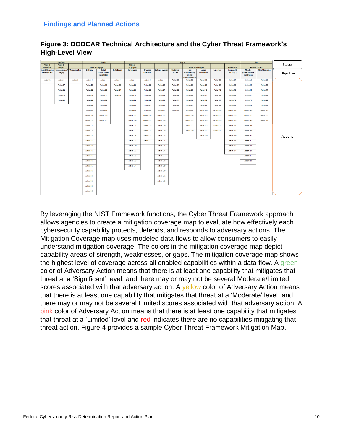

#### **Figure 3: DODCAR Technical Architecture and the Cyber Threat Framework's High-Level View**

By leveraging the NIST Framework functions, the Cyber Threat Framework approach allows agencies to create a mitigation coverage map to evaluate how effectively each cybersecurity capability protects, defends, and responds to adversary actions. The Mitigation Coverage map uses modeled data flows to allow consumers to easily understand mitigation coverage. The colors in the mitigation coverage map depict capability areas of strength, weaknesses, or gaps. The mitigation coverage map shows the highest level of coverage across all enabled capabilities within a data flow. A green color of Adversary Action means that there is at least one capability that mitigates that threat at a 'Significant' level, and there may or may not be several Moderate/Limited scores associated with that adversary action. A yellow color of Adversary Action means that there is at least one capability that mitigates that threat at a 'Moderate' level, and there may or may not be several Limited scores associated with that adversary action. A pink color of Adversary Action means that there is at least one capability that mitigates that threat at a 'Limited' level and red indicates there are no capabilities mitigating that threat action. Figure 4 provides a sample Cyber Threat Framework Mitigation Map.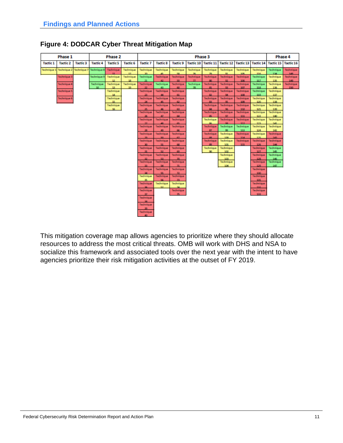| Phase 1          |                               |                 | Phase 2                      |                 |                           | Phase 3                   |                   |                                 |                 |                     |                           |                            | Phase 4          |                     |                   |
|------------------|-------------------------------|-----------------|------------------------------|-----------------|---------------------------|---------------------------|-------------------|---------------------------------|-----------------|---------------------|---------------------------|----------------------------|------------------|---------------------|-------------------|
| <b>Tactic 1</b>  | <b>Tactic 2</b>               | <b>Tactic 3</b> | <b>Tactic 4</b>              | <b>Tactic 5</b> | <b>Tactic 6</b>           | <b>Tactic 7</b>           | <b>Tactic 8</b>   | <b>Tactic 9</b>                 |                 | Tactic 10 Tactic 11 |                           | <b>Tactic 12 Tactic 13</b> | <b>Tactic 14</b> | Tactic 15 Tactic 16 |                   |
| <b>Technique</b> | Technique 2                   |                 | Technique 7 Technique 8      | Technique       | Technique<br>$\leftarrow$ | Technique                 | Technique         | Technique                       | Technique       | Technique           | Technique                 | Technique<br>106           | Technique<br>116 | Technique<br>134    | Technique<br>1.45 |
|                  | Technique 3                   |                 | Technique 9                  | Technique<br>12 | Technique<br>18           | Technique<br>21           | Technique<br>49   | Technique<br>98                 | Technique<br>T  | Technique<br>SO.    | Technique<br>99           | Technique<br>106           | Technique<br>117 | Technique<br>135    | Technique<br>149  |
|                  | <b>Technique 4</b>            |                 | Technique<br>10 <sub>1</sub> | Technique<br>13 | Technique<br>19           | Technique                 | Technique<br>43   | Technique<br>60                 | Technique<br>78 | Technique<br>81     | Technique<br><b>CER</b>   | Technique<br>107           | Technique<br>118 | Technique<br>136    | Technique<br>150  |
|                  | <b>Technique</b> <sup>5</sup> |                 |                              | Technique       |                           | Technique                 | Technique         | Technique                       |                 | Technique           | Technique                 | Technique                  | Technique        | Technique           |                   |
|                  | Technique 6                   |                 |                              | 14<br>Technique |                           | Technique                 | 44<br>Technique   | Technique                       |                 | Technique           | 94<br>Technique           | 108<br>Technique           | 119<br>Technique | 137<br>Technique    |                   |
|                  |                               |                 |                              | 15<br>Technique |                           | 34<br>Technique           | Technique         | 62<br>Technique                 |                 | Technique           | œ<br>Technique            | 109<br>Technique           | 120<br>Technique | 138<br>Technique    |                   |
|                  |                               |                 |                              | 16              |                           | Technique                 | 46<br>Technique   | 63<br>Technique                 |                 | 84<br>Technique     | Technique                 | 110<br>Technique           | 121<br>Technique | 139<br>Technique    |                   |
|                  |                               |                 |                              |                 |                           | Technique                 | 47<br>Technique   | 64<br>Technique                 |                 | Technique           | <b>COLOR</b><br>Technique | 111<br>Technique           | 122<br>Technique | 140<br>Technique    |                   |
|                  |                               |                 |                              |                 |                           | 44<br>Technique           | Technique         | Technique                       |                 | Technique           | Technique                 | 112<br>Technique           | 199<br>Technique | 141<br>Technique    |                   |
|                  |                               |                 |                              |                 |                           | Technique                 | Technique         | Technique                       |                 | 87<br>Technique     | 99<br>Technique           | 113<br>Technique           | 124<br>Technique | 142<br>Technique    |                   |
|                  |                               |                 |                              |                 |                           | 56<br>Technique           | Ra's<br>Technique | <b>AT</b><br>Technique          |                 | Technique           | 100<br>Technique          | 114<br>Technique           | 125<br>Technique | 143<br>Technique    |                   |
|                  |                               |                 |                              |                 |                           | <b>SO</b><br>Technique    | 51<br>Technique   | Technique                       |                 | 593<br>Technique    | 101<br>Technique          | 115                        | 126<br>Technique | 144<br>Technique    |                   |
|                  |                               |                 |                              |                 |                           | Technique                 | 629<br>Technique  | 68<br>Technique                 |                 | 90                  | 100<br>Technique          |                            | 127<br>Technique | 145<br>Technique    |                   |
|                  |                               |                 |                              |                 |                           | Technique                 | 53<br>Technique   | 70<br>Technique                 |                 |                     | 103<br>Technique          |                            | 128<br>Technique | 146<br>Technique    |                   |
|                  |                               |                 |                              |                 |                           | 33                        | 54<br>Technique   | $\overline{\bf n}$<br>Technique |                 |                     | 104                       |                            | 129<br>Technique | 147                 |                   |
|                  |                               |                 |                              |                 |                           | Technique                 |                   | 72                              |                 |                     |                           |                            | 130              |                     |                   |
|                  |                               |                 |                              |                 |                           | Technique<br>96.          | Technique         | Technique<br>73                 |                 |                     |                           |                            | Technique<br>131 |                     |                   |
|                  |                               |                 |                              |                 |                           | Technique                 | Technique<br>52   | Technique<br>74                 |                 |                     |                           |                            | Technique<br>132 |                     |                   |
|                  |                               |                 |                              |                 |                           | Technique<br>$\mathbf{r}$ |                   | Technique<br>冥                  |                 |                     |                           |                            | Technique<br>133 |                     |                   |
|                  |                               |                 |                              |                 |                           | Technique                 |                   |                                 |                 |                     |                           |                            |                  |                     |                   |
|                  |                               |                 |                              |                 |                           | Technique                 |                   |                                 |                 |                     |                           |                            |                  |                     |                   |
|                  |                               |                 |                              |                 |                           | Technique<br>40           |                   |                                 |                 |                     |                           |                            |                  |                     |                   |

### **Figure 4: DODCAR Cyber Threat Mitigation Map**

This mitigation coverage map allows agencies to prioritize where they should allocate resources to address the most critical threats. OMB will work with DHS and NSA to socialize this framework and associated tools over the next year with the intent to have agencies prioritize their risk mitigation activities at the outset of FY 2019.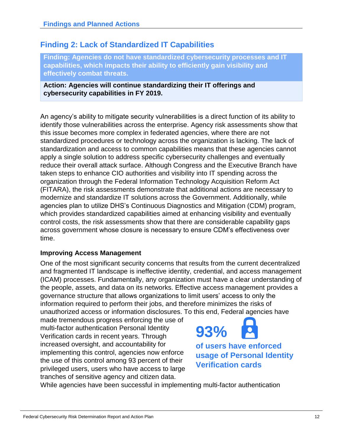### <span id="page-12-0"></span>**Finding 2: Lack of Standardized IT Capabilities**

**Finding: Agencies do not have standardized cybersecurity processes and IT capabilities, which impacts their ability to efficiently gain visibility and effectively combat threats.** 

**Action: Agencies will continue standardizing their IT offerings and cybersecurity capabilities in FY 2019.**

An agency's ability to mitigate security vulnerabilities is a direct function of its ability to identify those vulnerabilities across the enterprise. Agency risk assessments show that this issue becomes more complex in federated agencies, where there are not standardized procedures or technology across the organization is lacking. The lack of standardization and access to common capabilities means that these agencies cannot apply a single solution to address specific cybersecurity challenges and eventually reduce their overall attack surface. Although Congress and the Executive Branch have taken steps to enhance CIO authorities and visibility into IT spending across the organization through the Federal Information Technology Acquisition Reform Act (FITARA), the risk assessments demonstrate that additional actions are necessary to modernize and standardize IT solutions across the Government. Additionally, while agencies plan to utilize DHS's Continuous Diagnostics and Mitigation (CDM) program, which provides standardized capabilities aimed at enhancing visibility and eventually control costs, the risk assessments show that there are considerable capability gaps across government whose closure is necessary to ensure CDM's effectiveness over time.

#### **Improving Access Management**

One of the most significant security concerns that results from the current decentralized and fragmented IT landscape is ineffective identity, credential, and access management (ICAM) processes. Fundamentally, any organization must have a clear understanding of the people, assets, and data on its networks. Effective access management provides a governance structure that allows organizations to limit users' access to only the information required to perform their jobs, and therefore minimizes the risks of unauthorized access or information disclosures. To this end, Federal agencies have

made tremendous progress enforcing the use of multi-factor authentication Personal Identity Verification cards in recent years. Through increased oversight, and accountability for implementing this control, agencies now enforce the use of this control among 93 percent of their privileged users, users who have access to large tranches of sensitive agency and citizen data.



While agencies have been successful in implementing multi-factor authentication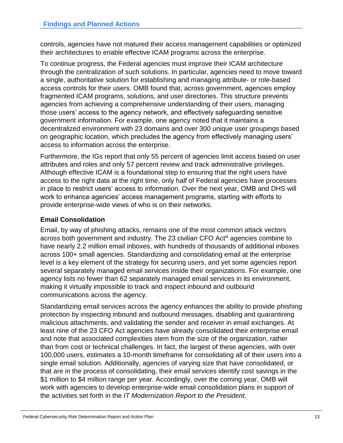controls, agencies have not matured their access management capabilities or optimized their architectures to enable effective ICAM programs across the enterprise.

To continue progress, the Federal agencies must improve their ICAM architecture through the centralization of such solutions. In particular, agencies need to move toward a single, authoritative solution for establishing and managing attribute- or role-based access controls for their users. OMB found that, across government, agencies employ fragmented ICAM programs, solutions, and user directories. This structure prevents agencies from achieving a comprehensive understanding of their users, managing those users' access to the agency network, and effectively safeguarding sensitive government information. For example, one agency noted that it maintains a decentralized environment with 23 domains and over 300 unique user groupings based on geographic location, which precludes the agency from effectively managing users' access to information across the enterprise.

Furthermore, the IGs report that only 55 percent of agencies limit access based on user attributes and roles and only 57 percent review and track administrative privileges. Although effective ICAM is a foundational step to ensuring that the right users have access to the right data at the right time, only half of Federal agencies have processes in place to restrict users' access to information. Over the next year, OMB and DHS will work to enhance agencies' access management programs, starting with efforts to provide enterprise-wide views of who is on their networks.

### **Email Consolidation**

Email, by way of phishing attacks, remains one of the most common attack vectors across both government and industry. The 23 civilian CFO Act<sup>iii</sup> agencies combine to have nearly 2.2 million email inboxes, with hundreds of thousands of additional inboxes across 100+ small agencies. Standardizing and consolidating email at the enterprise level is a key element of the strategy for securing users, and yet some agencies report several separately managed email services inside their organizations. For example, one agency lists no fewer than 62 separately managed email services in its environment, making it virtually impossible to track and inspect inbound and outbound communications across the agency.

Standardizing email services across the agency enhances the ability to provide phishing protection by inspecting inbound and outbound messages, disabling and quarantining malicious attachments, and validating the sender and receiver in email exchanges. At least nine of the 23 CFO Act agencies have already consolidated their enterprise email and note that associated complexities stem from the size of the organization, rather than from cost or technical challenges. In fact, the largest of these agencies, with over 100,000 users, estimates a 10-month timeframe for consolidating all of their users into a single email solution. Additionally, agencies of varying size that have consolidated, or that are in the process of consolidating, their email services identify cost savings in the \$1 million to \$4 million range per year. Accordingly, over the coming year, OMB will work with agencies to develop enterprise-wide email consolidation plans in support of the activities set forth in the *IT Modernization Report to the President*.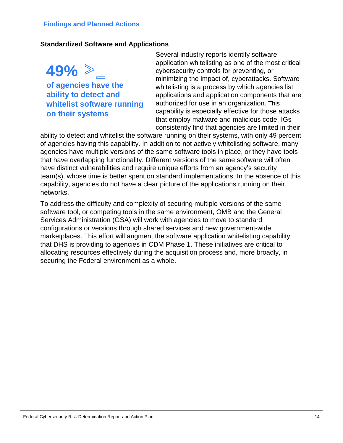#### **Standardized Software and Applications**

**49% of agencies have the ability to detect and whitelist software running on their systems**

Several industry reports identify software application whitelisting as one of the most critical cybersecurity controls for preventing, or minimizing the impact of, cyberattacks. Software whitelisting is a process by which agencies list applications and application components that are authorized for use in an organization. This capability is especially effective for those attacks that employ malware and malicious code. IGs consistently find that agencies are limited in their

ability to detect and whitelist the software running on their systems, with only 49 percent of agencies having this capability. In addition to not actively whitelisting software, many agencies have multiple versions of the same software tools in place, or they have tools that have overlapping functionality. Different versions of the same software will often have distinct vulnerabilities and require unique efforts from an agency's security team(s), whose time is better spent on standard implementations. In the absence of this capability, agencies do not have a clear picture of the applications running on their networks.

To address the difficulty and complexity of securing multiple versions of the same software tool, or competing tools in the same environment, OMB and the General Services Administration (GSA) will work with agencies to move to standard configurations or versions through shared services and new government-wide marketplaces. This effort will augment the software application whitelisting capability that DHS is providing to agencies in CDM Phase 1. These initiatives are critical to allocating resources effectively during the acquisition process and, more broadly, in securing the Federal environment as a whole.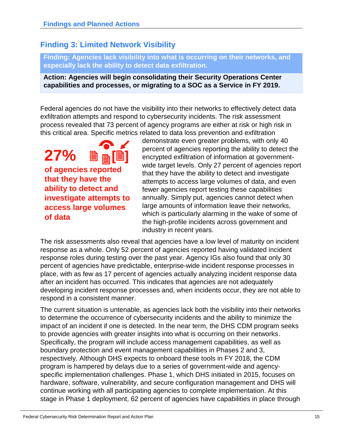### <span id="page-15-0"></span>**Finding 3: Limited Network Visibility**

**Finding: Agencies lack visibility into what is occurring on their networks, and especially lack the ability to detect data exfiltration.** 

**Action: Agencies will begin consolidating their Security Operations Center capabilities and processes, or migrating to a SOC as a Service in FY 2019.**

Federal agencies do not have the visibility into their networks to effectively detect data exfiltration attempts and respond to cybersecurity incidents. The risk assessment process revealed that 73 percent of agency programs are either at risk or high risk in this critical area. Specific metrics related to data loss prevention and exfiltration

**27% of agencies reported that they have the ability to detect and investigate attempts to access large volumes of data** 

demonstrate even greater problems, with only 40 percent of agencies reporting the ability to detect the encrypted exfiltration of information at governmentwide target levels. Only 27 percent of agencies report that they have the ability to detect and investigate attempts to access large volumes of data, and even fewer agencies report testing these capabilities annually. Simply put, agencies cannot detect when large amounts of information leave their networks, which is particularly alarming in the wake of some of the high-profile incidents across government and industry in recent years.

The risk assessments also reveal that agencies have a low level of maturity on incident response as a whole. Only 52 percent of agencies reported having validated incident response roles during testing over the past year. Agency IGs also found that only 30 percent of agencies have predictable, enterprise-wide incident response processes in place, with as few as 17 percent of agencies actually analyzing incident response data after an incident has occurred. This indicates that agencies are not adequately developing incident response processes and, when incidents occur, they are not able to respond in a consistent manner.

The current situation is untenable, as agencies lack both the visibility into their networks to determine the occurrence of cybersecurity incidents and the ability to minimize the impact of an incident if one is detected. In the near term, the DHS CDM program seeks to provide agencies with greater insights into what is occurring on their networks. Specifically, the program will include access management capabilities, as well as boundary protection and event management capabilities in Phases 2 and 3, respectively. Although DHS expects to onboard these tools in FY 2018, the CDM program is hampered by delays due to a series of government-wide and agencyspecific implementation challenges. Phase 1, which DHS initiated in 2015, focuses on hardware, software, vulnerability, and secure configuration management and DHS will continue working with all participating agencies to complete implementation. At this stage in Phase 1 deployment, 62 percent of agencies have capabilities in place through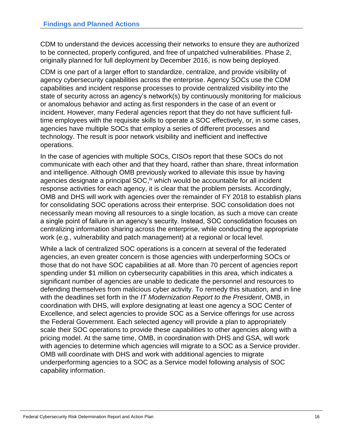CDM to understand the devices accessing their networks to ensure they are authorized to be connected, properly configured, and free of unpatched vulnerabilities. Phase 2, originally planned for full deployment by December 2016, is now being deployed.

CDM is one part of a larger effort to standardize, centralize, and provide visibility of agency cybersecurity capabilities across the enterprise. Agency SOCs use the CDM capabilities and incident response processes to provide centralized visibility into the state of security across an agency's network(s) by continuously monitoring for malicious or anomalous behavior and acting as first responders in the case of an event or incident. However, many Federal agencies report that they do not have sufficient fulltime employees with the requisite skills to operate a SOC effectively, or, in some cases, agencies have multiple SOCs that employ a series of different processes and technology. The result is poor network visibility and inefficient and ineffective operations.

In the case of agencies with multiple SOCs, CISOs report that these SOCs do not communicate with each other and that they hoard, rather than share, threat information and intelligence. Although OMB previously worked to alleviate this issue by having agencies designate a principal SOC,<sup>iv</sup> which would be accountable for all incident response activities for each agency, it is clear that the problem persists. Accordingly, OMB and DHS will work with agencies over the remainder of FY 2018 to establish plans for consolidating SOC operations across their enterprise. SOC consolidation does not necessarily mean moving all resources to a single location, as such a move can create a single point of failure in an agency's security. Instead, SOC consolidation focuses on centralizing information sharing across the enterprise, while conducting the appropriate work (e.g., vulnerability and patch management) at a regional or local level.

While a lack of centralized SOC operations is a concern at several of the federated agencies, an even greater concern is those agencies with underperforming SOCs or those that do not have SOC capabilities at all. More than 70 percent of agencies report spending under \$1 million on cybersecurity capabilities in this area, which indicates a significant number of agencies are unable to dedicate the personnel and resources to defending themselves from malicious cyber activity. To remedy this situation, and in line with the deadlines set forth in the *IT Modernization Report to the President*, OMB, in coordination with DHS, will explore designating at least one agency a SOC Center of Excellence, and select agencies to provide SOC as a Service offerings for use across the Federal Government. Each selected agency will provide a plan to appropriately scale their SOC operations to provide these capabilities to other agencies along with a pricing model. At the same time, OMB, in coordination with DHS and GSA, will work with agencies to determine which agencies will migrate to a SOC as a Service provider. OMB will coordinate with DHS and work with additional agencies to migrate underperforming agencies to a SOC as a Service model following analysis of SOC capability information.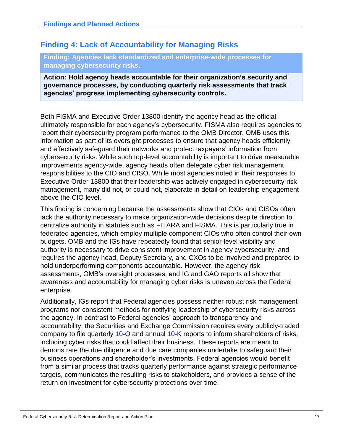### <span id="page-17-0"></span>**Finding 4: Lack of Accountability for Managing Risks**

**Finding: Agencies lack standardized and enterprise-wide processes for managing cybersecurity risks.** 

**Action: Hold agency heads accountable for their organization's security and governance processes, by conducting quarterly risk assessments that track agencies' progress implementing cybersecurity controls.**

Both FISMA and Executive Order 13800 identify the agency head as the official ultimately responsible for each agency's cybersecurity. FISMA also requires agencies to report their cybersecurity program performance to the OMB Director. OMB uses this information as part of its oversight processes to ensure that agency heads efficiently and effectively safeguard their networks and protect taxpayers' information from cybersecurity risks. While such top-level accountability is important to drive measurable improvements agency-wide, agency heads often delegate cyber risk management responsibilities to the CIO and CISO. While most agencies noted in their responses to Executive Order 13800 that their leadership was actively engaged in cybersecurity risk management, many did not, or could not, elaborate in detail on leadership engagement above the CIO level.

This finding is concerning because the assessments show that CIOs and CISOs often lack the authority necessary to make organization-wide decisions despite direction to centralize authority in statutes such as FITARA and FISMA. This is particularly true in federated agencies, which employ multiple component CIOs who often control their own budgets. OMB and the IGs have repeatedly found that senior-level visibility and authority is necessary to drive consistent improvement in agency cybersecurity, and requires the agency head, Deputy Secretary, and CXOs to be involved and prepared to hold underperforming components accountable. However, the agency risk assessments, OMB's oversight processes, and IG and GAO reports all show that awareness and accountability for managing cyber risks is uneven across the Federal enterprise.

Additionally, IGs report that Federal agencies possess neither robust risk management programs nor consistent methods for notifying leadership of cybersecurity risks across the agency. In contrast to Federal agencies' approach to transparency and accountability, the Securities and Exchange Commission requires every publicly-traded company to file quarterly [10-Q](https://www.sec.gov/files/form10-q.pdf) and annual [10-K](https://www.sec.gov/files/form10-k.pdf) reports to inform shareholders of risks, including cyber risks that could affect their business. These reports are meant to demonstrate the due diligence and due care companies undertake to safeguard their business operations and shareholder's investments. Federal agencies would benefit from a similar process that tracks quarterly performance against strategic performance targets, communicates the resulting risks to stakeholders, and provides a sense of the return on investment for cybersecurity protections over time.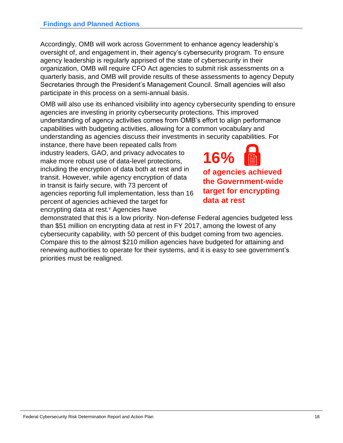Accordingly, OMB will work across Government to enhance agency leadership's oversight of, and engagement in, their agency's cybersecurity program. To ensure agency leadership is regularly apprised of the state of cybersecurity in their organization, OMB will require CFO Act agencies to submit risk assessments on a quarterly basis, and OMB will provide results of these assessments to agency Deputy Secretaries through the President's Management Council. Small agencies will also participate in this process on a semi-annual basis.

OMB will also use its enhanced visibility into agency cybersecurity spending to ensure agencies are investing in priority cybersecurity protections. This improved understanding of agency activities comes from OMB's effort to align performance capabilities with budgeting activities, allowing for a common vocabulary and understanding as agencies discuss their investments in security capabilities. For

instance, there have been repeated calls from industry leaders, GAO, and privacy advocates to make more robust use of data-level protections, including the encryption of data both at rest and in transit. However, while agency encryption of data in transit is fairly secure, with 73 percent of agencies reporting full implementation, less than 16 percent of agencies achieved the target for encrypting data at rest.<sup>v</sup> Agencies have

**16% of agencies achieved the Government-wide target for encrypting data at rest**  

demonstrated that this is a low priority. Non-defense Federal agencies budgeted less than \$51 million on encrypting data at rest in FY 2017, among the lowest of any cybersecurity capability, with 50 percent of this budget coming from two agencies. Compare this to the almost \$210 million agencies have budgeted for attaining and renewing authorities to operate for their systems, and it is easy to see government's priorities must be realigned.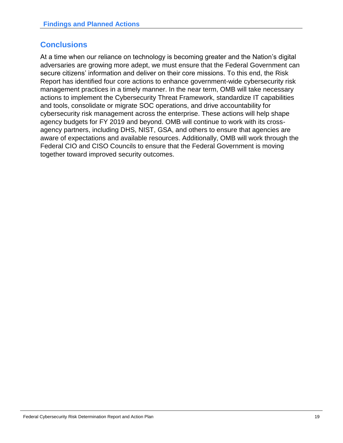### <span id="page-19-0"></span>**Conclusions**

At a time when our reliance on technology is becoming greater and the Nation's digital adversaries are growing more adept, we must ensure that the Federal Government can secure citizens' information and deliver on their core missions. To this end, the Risk Report has identified four core actions to enhance government-wide cybersecurity risk management practices in a timely manner. In the near term, OMB will take necessary actions to implement the Cybersecurity Threat Framework, standardize IT capabilities and tools, consolidate or migrate SOC operations, and drive accountability for cybersecurity risk management across the enterprise. These actions will help shape agency budgets for FY 2019 and beyond. OMB will continue to work with its crossagency partners, including DHS, NIST, GSA, and others to ensure that agencies are aware of expectations and available resources. Additionally, OMB will work through the Federal CIO and CISO Councils to ensure that the Federal Government is moving together toward improved security outcomes.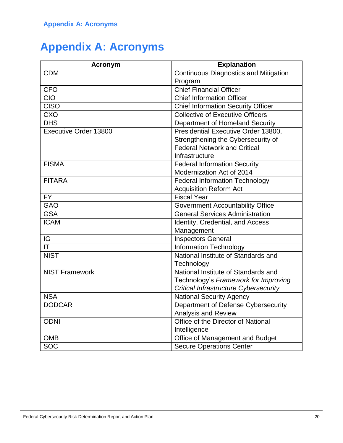# <span id="page-20-0"></span>**Appendix A: Acronyms**

| <b>Acronym</b>                    | <b>Explanation</b>                           |
|-----------------------------------|----------------------------------------------|
| <b>CDM</b>                        | <b>Continuous Diagnostics and Mitigation</b> |
|                                   | Program                                      |
| <b>CFO</b>                        | <b>Chief Financial Officer</b>               |
| <b>CIO</b>                        | <b>Chief Information Officer</b>             |
| <b>CISO</b>                       | <b>Chief Information Security Officer</b>    |
| CXO                               | <b>Collective of Executive Officers</b>      |
| <b>DHS</b>                        | Department of Homeland Security              |
| Executive Order 13800             | Presidential Executive Order 13800,          |
|                                   | Strengthening the Cybersecurity of           |
|                                   | <b>Federal Network and Critical</b>          |
|                                   | Infrastructure                               |
| <b>FISMA</b>                      | <b>Federal Information Security</b>          |
|                                   | Modernization Act of 2014                    |
| <b>FITARA</b>                     | <b>Federal Information Technology</b>        |
|                                   | <b>Acquisition Reform Act</b>                |
| <b>FY</b>                         | <b>Fiscal Year</b>                           |
| <b>GAO</b>                        | <b>Government Accountability Office</b>      |
| <b>GSA</b>                        | <b>General Services Administration</b>       |
| <b>ICAM</b>                       | Identity, Credential, and Access             |
|                                   | Management                                   |
| IG                                | <b>Inspectors General</b>                    |
| $\overline{\mathsf{I}\mathsf{T}}$ | <b>Information Technology</b>                |
| <b>NIST</b>                       | National Institute of Standards and          |
|                                   | Technology                                   |
| <b>NIST Framework</b>             | National Institute of Standards and          |
|                                   | Technology's Framework for Improving         |
|                                   | <b>Critical Infrastructure Cybersecurity</b> |
| <b>NSA</b>                        | <b>National Security Agency</b>              |
| <b>DODCAR</b>                     | Department of Defense Cybersecurity          |
|                                   | <b>Analysis and Review</b>                   |
| <b>ODNI</b>                       | Office of the Director of National           |
|                                   | Intelligence                                 |
| <b>OMB</b>                        | Office of Management and Budget              |
| <b>SOC</b>                        | <b>Secure Operations Center</b>              |